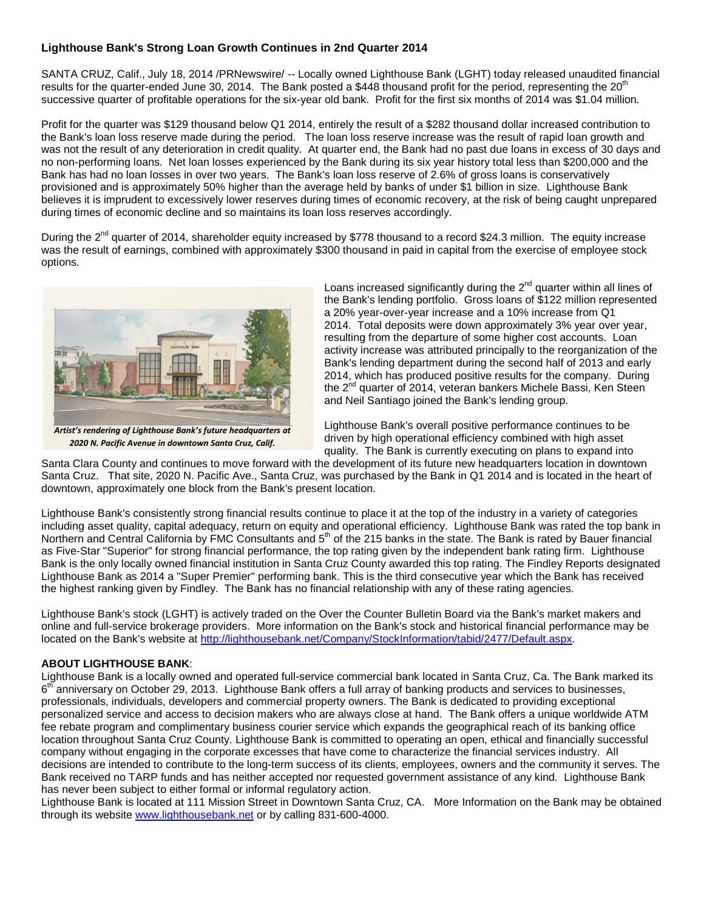## **Lighthouse Bank's Strong Loan Growth Continues in 2nd Quarter 2014**

SANTA CRUZ, Calif., July 18, 2014 /PRNewswire/ -- Locally owned Lighthouse Bank (LGHT) today released unaudited financial results for the quarter-ended June 30, 2014. The Bank posted a \$448 thousand profit for the period, representing the  $20<sup>th</sup>$ successive quarter of profitable operations for the six-year old bank. Profit for the first six months of 2014 was \$1.04 million.

Profit for the quarter was \$129 thousand below Q1 2014, entirely the result of a \$282 thousand dollar increased contribution to the Bank's loan loss reserve made during the period. The loan loss reserve increase was the result of rapid loan growth and was not the result of any deterioration in credit quality. At quarter end, the Bank had no past due loans in excess of 30 days and no non-performing loans. Net loan losses experienced by the Bank during its six year history total less than \$200,000 and the Bank has had no loan losses in over two years. The Bank's loan loss reserve of 2.6% of gross loans is conservatively provisioned and is approximately 50% higher than the average held by banks of under \$1 billion in size. Lighthouse Bank believes it is imprudent to excessively lower reserves during times of economic recovery, at the risk of being caught unprepared during times of economic decline and so maintains its loan loss reserves accordingly.

During the 2<sup>nd</sup> quarter of 2014, shareholder equity increased by \$778 thousand to a record \$24.3 million. The equity increase was the result of earnings, combined with approximately \$300 thousand in paid in capital from the exercise of employee stock options.



*2020 N. Pacific Avenue in downtown Santa Cruz, Calif.*

Loans increased significantly during the  $2^{nd}$  quarter within all lines of the Bank's lending portfolio. Gross loans of \$122 million represented a 20% year-over-year increase and a 10% increase from Q1 2014. Total deposits were down approximately 3% year over year, resulting from the departure of some higher cost accounts. Loan activity increase was attributed principally to the reorganization of the Bank's lending department during the second half of 2013 and early 2014, which has produced positive results for the company. During the 2<sup>nd</sup> quarter of 2014, veteran bankers Michele Bassi, Ken Steen and Neil Santiago joined the Bank's lending group.

Lighthouse Bank's overall positive performance continues to be driven by high operational efficiency combined with high asset quality. The Bank is currently executing on plans to expand into

Santa Clara County and continues to move forward with the development of its future new headquarters location in downtown Santa Cruz. That site, 2020 N. Pacific Ave., Santa Cruz, was purchased by the Bank in Q1 2014 and is located in the heart of downtown, approximately one block from the Bank's present location.

Lighthouse Bank's consistently strong financial results continue to place it at the top of the industry in a variety of categories including asset quality, capital adequacy, return on equity and operational efficiency. Lighthouse Bank was rated the top bank in Northern and Central California by FMC Consultants and 5<sup>th</sup> of the 215 banks in the state. The Bank is rated by Bauer financial as Five-Star "Superior" for strong financial performance, the top rating given by the independent bank rating firm. Lighthouse Bank is the only locally owned financial institution in Santa Cruz County awarded this top rating. The Findley Reports designated Lighthouse Bank as 2014 a "Super Premier" performing bank. This is the third consecutive year which the Bank has received the highest ranking given by Findley. The Bank has no financial relationship with any of these rating agencies.

Lighthouse Bank's stock (LGHT) is actively traded on the Over the Counter Bulletin Board via the Bank's market makers and online and full-service brokerage providers. More information on the Bank's stock and historical financial performance may be located on the Bank's website at [http://lighthousebank.net/Company/StockInformation/tabid/2477/Default.aspx.](http://lighthousebank.net/Company/StockInformation/tabid/2477/Default.aspx)

## **ABOUT LIGHTHOUSE BANK**:

Lighthouse Bank is a locally owned and operated full-service commercial bank located in Santa Cruz, Ca. The Bank marked its  $6<sup>th</sup>$  anniversary on October 29, 2013. Lighthouse Bank offers a full array of banking products and services to businesses, professionals, individuals, developers and commercial property owners. The Bank is dedicated to providing exceptional personalized service and access to decision makers who are always close at hand. The Bank offers a unique worldwide ATM fee rebate program and complimentary business courier service which expands the geographical reach of its banking office location throughout Santa Cruz County. Lighthouse Bank is committed to operating an open, ethical and financially successful company without engaging in the corporate excesses that have come to characterize the financial services industry. All decisions are intended to contribute to the long-term success of its clients, employees, owners and the community it serves. The Bank received no TARP funds and has neither accepted nor requested government assistance of any kind. Lighthouse Bank has never been subject to either formal or informal regulatory action.

Lighthouse Bank is located at 111 Mission Street in Downtown Santa Cruz, CA. More Information on the Bank may be obtained through its website [www.lighthousebank.net](http://www.lighthousebank.net/) or by calling 831-600-4000.